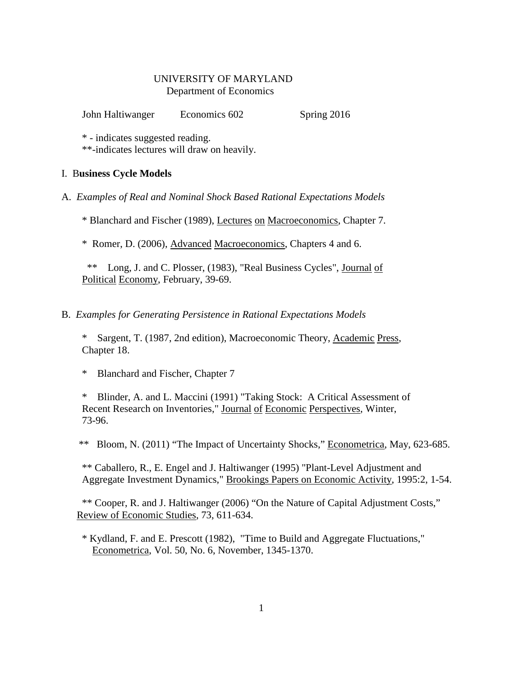## UNIVERSITY OF MARYLAND Department of Economics

John Haltiwanger Economics 602 Spring 2016

\* - indicates suggested reading.

\*\*-indicates lectures will draw on heavily.

# I. B**usiness Cycle Models**

A. *Examples of Real and Nominal Shock Based Rational Expectations Models*

\* Blanchard and Fischer (1989), Lectures on Macroeconomics, Chapter 7.

\* Romer, D. (2006), Advanced Macroeconomics, Chapters 4 and 6.

 \*\* Long, J. and C. Plosser, (1983), "Real Business Cycles", Journal of Political Economy, February, 39-69.

B. *Examples for Generating Persistence in Rational Expectations Models*

Sargent, T. (1987, 2nd edition), Macroeconomic Theory, Academic Press, Chapter 18.

\* Blanchard and Fischer, Chapter 7

Blinder, A. and L. Maccini (1991) "Taking Stock: A Critical Assessment of Recent Research on Inventories," Journal of Economic Perspectives, Winter, 73-96.

\*\* Bloom, N. (2011) "The Impact of Uncertainty Shocks," Econometrica, May, 623-685.

\*\* Caballero, R., E. Engel and J. Haltiwanger (1995) "Plant-Level Adjustment and Aggregate Investment Dynamics," Brookings Papers on Economic Activity, 1995:2, 1-54.

 \*\* Cooper, R. and J. Haltiwanger (2006) "On the Nature of Capital Adjustment Costs," Review of Economic Studies, 73, 611-634.

 \* Kydland, F. and E. Prescott (1982), "Time to Build and Aggregate Fluctuations," Econometrica, Vol. 50, No. 6, November, 1345-1370.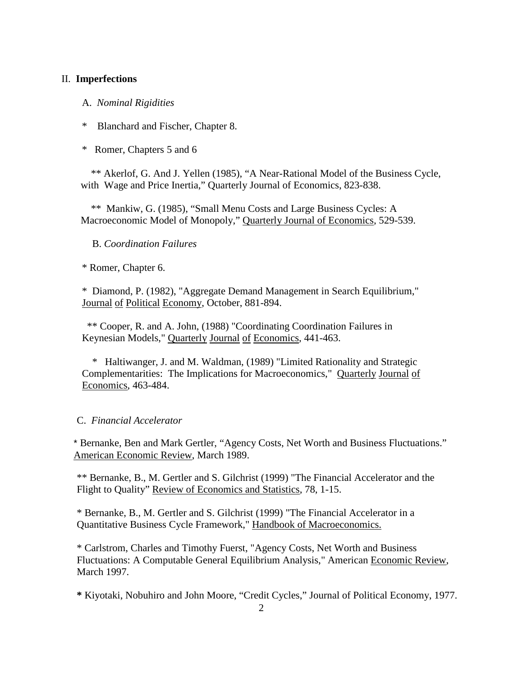## II. **Imperfections**

A. *Nominal Rigidities*

Blanchard and Fischer, Chapter 8.

\* Romer, Chapters 5 and 6

 \*\* Akerlof, G. And J. Yellen (1985), "A Near-Rational Model of the Business Cycle, with Wage and Price Inertia," Quarterly Journal of Economics, 823-838.

 \*\* Mankiw, G. (1985), "Small Menu Costs and Large Business Cycles: A Macroeconomic Model of Monopoly," Quarterly Journal of Economics, 529-539.

B. *Coordination Failures*

\* Romer, Chapter 6.

 \* Diamond, P. (1982), "Aggregate Demand Management in Search Equilibrium," Journal of Political Economy, October, 881-894.

 \*\* Cooper, R. and A. John, (1988) "Coordinating Coordination Failures in Keynesian Models," Quarterly Journal of Economics, 441-463.

 \* Haltiwanger, J. and M. Waldman, (1989) "Limited Rationality and Strategic Complementarities: The Implications for Macroeconomics," Quarterly Journal of Economics, 463-484.

## C. *Financial Accelerator*

\* Bernanke, Ben and Mark Gertler, "Agency Costs, Net Worth and Business Fluctuations." American Economic Review, March 1989.

\*\* Bernanke, B., M. Gertler and S. Gilchrist (1999) "The Financial Accelerator and the Flight to Quality" Review of Economics and Statistics, 78, 1-15.

\* Bernanke, B., M. Gertler and S. Gilchrist (1999) "The Financial Accelerator in a Quantitative Business Cycle Framework," Handbook of Macroeconomics.

\* Carlstrom, Charles and Timothy Fuerst, "Agency Costs, Net Worth and Business Fluctuations: A Computable General Equilibrium Analysis," American Economic Review, March 1997.

**\*** Kiyotaki, Nobuhiro and John Moore, "Credit Cycles," Journal of Political Economy, 1977.